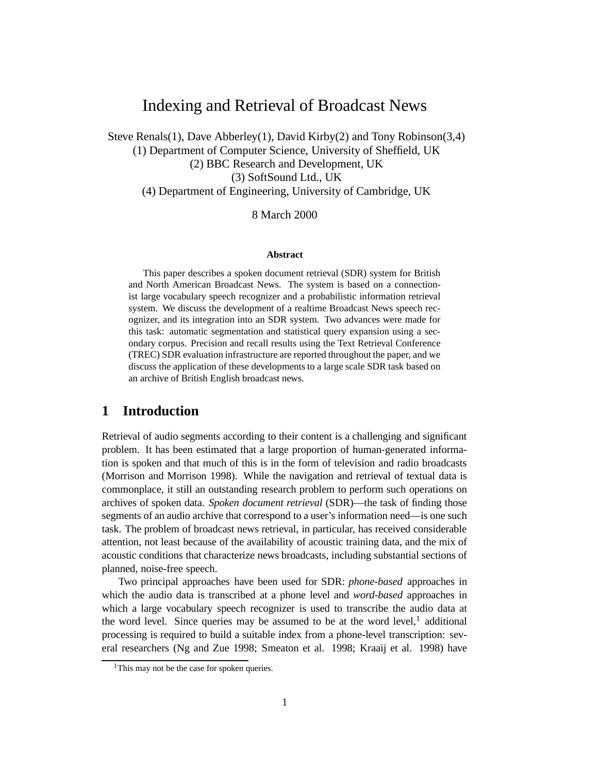## Indexing and Retrieval of Broadcast News

Steve Renals(1), Dave Abberley(1), David Kirby(2) and Tony Robinson(3,4) (1) Department of Computer Science, University of Sheffield, UK (2) BBC Research and Development, UK (3) SoftSound Ltd., UK (4) Department of Engineering, University of Cambridge, UK

8 March 2000

#### **Abstract**

This paper describes a spoken document retrieval (SDR) system for British and North American Broadcast News. The system is based on a connectionist large vocabulary speech recognizer and a probabilistic information retrieval system. We discuss the development of a realtime Broadcast News speech recognizer, and its integration into an SDR system. Two advances were made for this task: automatic segmentation and statistical query expansion using a secondary corpus. Precision and recall results using the Text Retrieval Conference (TREC) SDR evaluation infrastructure are reported throughout the paper, and we discuss the application of these developments to a large scale SDR task based on an archive of British English broadcast news.

#### **1 Introduction**

Retrieval of audio segments according to their content is a challenging and significant problem. It has been estimated that a large proportion of human-generated information is spoken and that much of this is in the form of television and radio broadcasts (Morrison and Morrison 1998). While the navigation and retrieval of textual data is commonplace, it still an outstanding research problem to perform such operations on archives of spoken data. *Spoken document retrieval* (SDR)—the task of finding those segments of an audio archive that correspond to a user's information need—is one such task. The problem of broadcast news retrieval, in particular, has received considerable attention, not least because of the availability of acoustic training data, and the mix of acoustic conditions that characterize news broadcasts, including substantial sections of planned, noise-free speech.

Two principal approaches have been used for SDR: *phone-based* approaches in which the audio data is transcribed at a phone level and *word-based* approaches in which a large vocabulary speech recognizer is used to transcribe the audio data at the word level. Since queries may be assumed to be at the word level, $<sup>1</sup>$  additional</sup> processing is required to build a suitable index from a phone-level transcription: several researchers (Ng and Zue 1998; Smeaton et al. 1998; Kraaij et al. 1998) have

<sup>&</sup>lt;sup>1</sup>This may not be the case for spoken queries.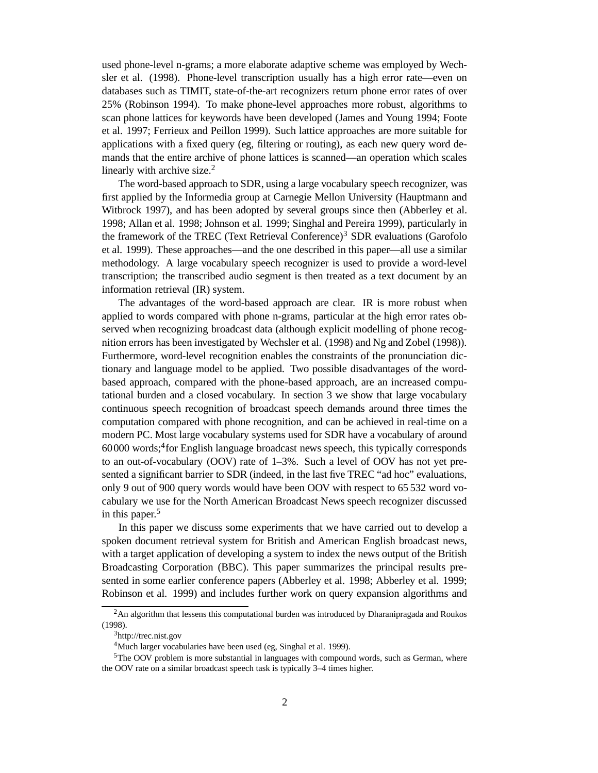used phone-level n-grams; a more elaborate adaptive scheme was employed by Wechsler et al. (1998). Phone-level transcription usually has a high error rate—even on databases such as TIMIT, state-of-the-art recognizers return phone error rates of over 25% (Robinson 1994). To make phone-level approaches more robust, algorithms to scan phone lattices for keywords have been developed (James and Young 1994; Foote et al. 1997; Ferrieux and Peillon 1999). Such lattice approaches are more suitable for applications with a fixed query (eg, filtering or routing), as each new query word demands that the entire archive of phone lattices is scanned—an operation which scales linearly with archive size.<sup>2</sup>

The word-based approach to SDR, using a large vocabulary speech recognizer, was first applied by the Informedia group at Carnegie Mellon University (Hauptmann and Witbrock 1997), and has been adopted by several groups since then (Abberley et al. 1998; Allan et al. 1998; Johnson et al. 1999; Singhal and Pereira 1999), particularly in the framework of the TREC (Text Retrieval Conference) $3$  SDR evaluations (Garofolo et al. 1999). These approaches—and the one described in this paper—all use a similar methodology. A large vocabulary speech recognizer is used to provide a word-level transcription; the transcribed audio segment is then treated as a text document by an information retrieval (IR) system.

The advantages of the word-based approach are clear. IR is more robust when applied to words compared with phone n-grams, particular at the high error rates observed when recognizing broadcast data (although explicit modelling of phone recognition errors has been investigated by Wechsler et al. (1998) and Ng and Zobel (1998)). Furthermore, word-level recognition enables the constraints of the pronunciation dictionary and language model to be applied. Two possible disadvantages of the wordbased approach, compared with the phone-based approach, are an increased computational burden and a closed vocabulary. In section 3 we show that large vocabulary continuous speech recognition of broadcast speech demands around three times the computation compared with phone recognition, and can be achieved in real-time on a modern PC. Most large vocabulary systems used for SDR have a vocabulary of around 60000 words;<sup>4</sup> for English language broadcast news speech, this typically corresponds to an out-of-vocabulary (OOV) rate of 1–3%. Such a level of OOV has not yet presented a significant barrier to SDR (indeed, in the last five TREC "ad hoc" evaluations, only 9 out of 900 query words would have been OOV with respect to 65 532 word vocabulary we use for the North American Broadcast News speech recognizer discussed in this paper. 5

In this paper we discuss some experiments that we have carried out to develop a spoken document retrieval system for British and American English broadcast news, with a target application of developing a system to index the news output of the British Broadcasting Corporation (BBC). This paper summarizes the principal results presented in some earlier conference papers (Abberley et al. 1998; Abberley et al. 1999; Robinson et al. 1999) and includes further work on query expansion algorithms and

 ${}^{2}$ An algorithm that lessens this computational burden was introduced by Dharanipragada and Roukos (1998).

<sup>3</sup>http://trec.nist.gov

<sup>4</sup>Much larger vocabularies have been used (eg, Singhal et al. 1999).

<sup>5</sup>The OOV problem is more substantial in languages with compound words, such as German, where the OOV rate on a similar broadcast speech task is typically 3–4 times higher.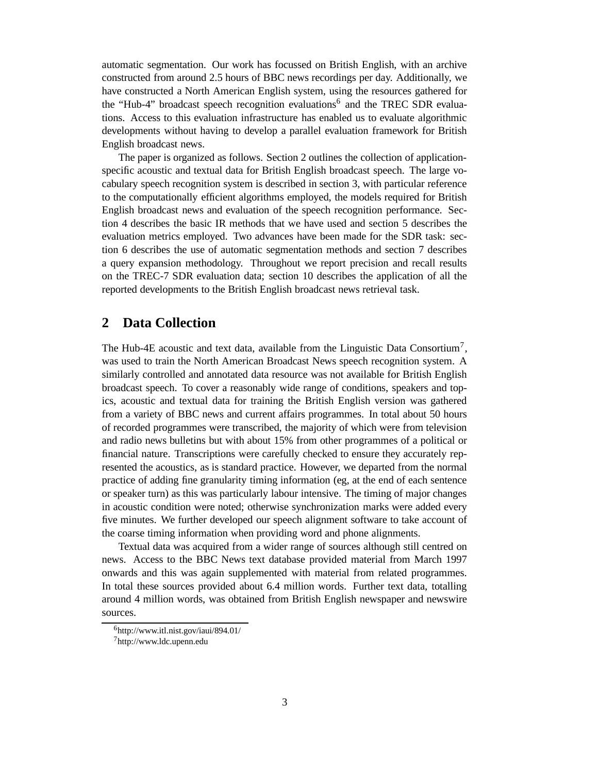automatic segmentation. Our work has focussed on British English, with an archive constructed from around 2.5 hours of BBC news recordings per day. Additionally, we have constructed a North American English system, using the resources gathered for the "Hub-4" broadcast speech recognition evaluations<sup>6</sup> and the TREC SDR evaluations. Access to this evaluation infrastructure has enabled us to evaluate algorithmic developments without having to develop a parallel evaluation framework for British English broadcast news.

The paper is organized as follows. Section 2 outlines the collection of applicationspecific acoustic and textual data for British English broadcast speech. The large vocabulary speech recognition system is described in section 3, with particular reference to the computationally efficient algorithms employed, the models required for British English broadcast news and evaluation of the speech recognition performance. Section 4 describes the basic IR methods that we have used and section 5 describes the evaluation metrics employed. Two advances have been made for the SDR task: section 6 describes the use of automatic segmentation methods and section 7 describes a query expansion methodology. Throughout we report precision and recall results on the TREC-7 SDR evaluation data; section 10 describes the application of all the reported developments to the British English broadcast news retrieval task.

#### **2 Data Collection**

The Hub-4E acoustic and text data, available from the Linguistic Data Consortium<sup>7</sup>, was used to train the North American Broadcast News speech recognition system. A similarly controlled and annotated data resource was not available for British English broadcast speech. To cover a reasonably wide range of conditions, speakers and topics, acoustic and textual data for training the British English version was gathered from a variety of BBC news and current affairs programmes. In total about 50 hours of recorded programmes were transcribed, the majority of which were from television and radio news bulletins but with about 15% from other programmes of a political or financial nature. Transcriptions were carefully checked to ensure they accurately represented the acoustics, as is standard practice. However, we departed from the normal practice of adding fine granularity timing information (eg, at the end of each sentence or speaker turn) as this was particularly labour intensive. The timing of major changes in acoustic condition were noted; otherwise synchronization marks were added every five minutes. We further developed our speech alignment software to take account of the coarse timing information when providing word and phone alignments.

Textual data was acquired from a wider range of sources although still centred on news. Access to the BBC News text database provided material from March 1997 onwards and this was again supplemented with material from related programmes. In total these sources provided about 6.4 million words. Further text data, totalling around 4 million words, was obtained from British English newspaper and newswire sources.

<sup>6</sup>http://www.itl.nist.gov/iaui/894.01/

<sup>7</sup>http://www.ldc.upenn.edu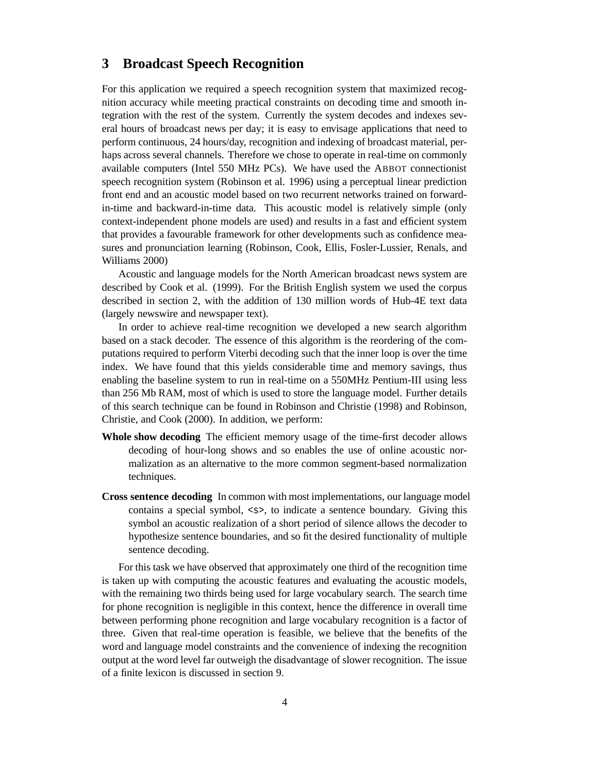#### **3 Broadcast Speech Recognition**

For this application we required a speech recognition system that maximized recognition accuracy while meeting practical constraints on decoding time and smooth integration with the rest of the system. Currently the system decodes and indexes several hours of broadcast news per day; it is easy to envisage applications that need to perform continuous, 24 hours/day, recognition and indexing of broadcast material, perhaps across several channels. Therefore we chose to operate in real-time on commonly available computers (Intel 550 MHz PCs). We have used the ABBOT connectionist speech recognition system (Robinson et al. 1996) using a perceptual linear prediction front end and an acoustic model based on two recurrent networks trained on forwardin-time and backward-in-time data. This acoustic model is relatively simple (only context-independent phone models are used) and results in a fast and efficient system that provides a favourable framework for other developments such as confidence measures and pronunciation learning (Robinson, Cook, Ellis, Fosler-Lussier, Renals, and Williams 2000)

Acoustic and language models for the North American broadcast news system are described by Cook et al. (1999). For the British English system we used the corpus described in section 2, with the addition of 130 million words of Hub-4E text data (largely newswire and newspaper text).

In order to achieve real-time recognition we developed a new search algorithm based on a stack decoder. The essence of this algorithm is the reordering of the computations required to perform Viterbi decoding such that the inner loop is over the time index. We have found that this yields considerable time and memory savings, thus enabling the baseline system to run in real-time on a 550MHz Pentium-III using less than 256 Mb RAM, most of which is used to store the language model. Further details of this search technique can be found in Robinson and Christie (1998) and Robinson, Christie, and Cook (2000). In addition, we perform:

- **Whole show decoding** The efficient memory usage of the time-first decoder allows decoding of hour-long shows and so enables the use of online acoustic normalization as an alternative to the more common segment-based normalization techniques.
- **Cross sentence decoding** In common with most implementations, our language model contains a special symbol, <s>, to indicate a sentence boundary. Giving this symbol an acoustic realization of a short period of silence allows the decoder to hypothesize sentence boundaries, and so fit the desired functionality of multiple sentence decoding.

For this task we have observed that approximately one third of the recognition time is taken up with computing the acoustic features and evaluating the acoustic models, with the remaining two thirds being used for large vocabulary search. The search time for phone recognition is negligible in this context, hence the difference in overall time between performing phone recognition and large vocabulary recognition is a factor of three. Given that real-time operation is feasible, we believe that the benefits of the word and language model constraints and the convenience of indexing the recognition output at the word level far outweigh the disadvantage of slower recognition. The issue of a finite lexicon is discussed in section 9.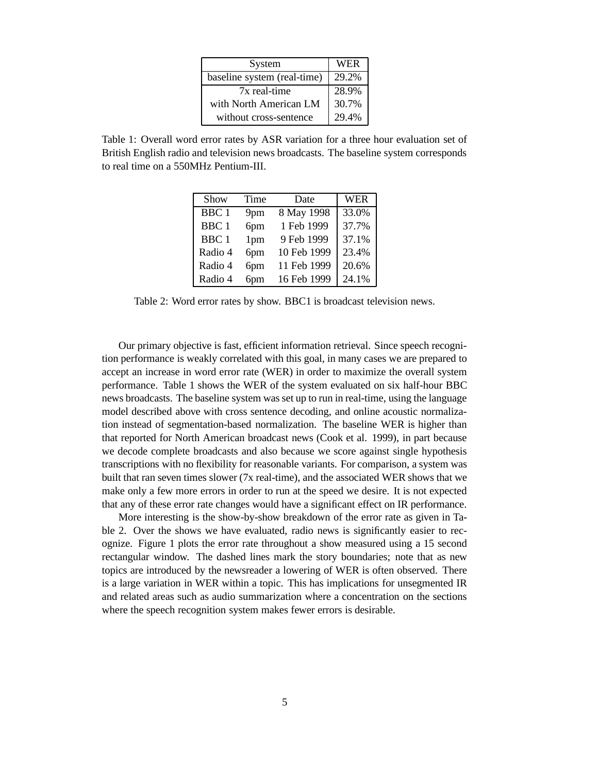| System                      | <b>WER</b> |
|-----------------------------|------------|
| baseline system (real-time) | 29.2%      |
| 7x real-time                | 28.9%      |
| with North American LM      | 30.7%      |
| without cross-sentence      | 29.4%      |

Table 1: Overall word error rates by ASR variation for a three hour evaluation set of British English radio and television news broadcasts. The baseline system corresponds to real time on a 550MHz Pentium-III.

| Show             | Time | Date        | <b>WER</b> |
|------------------|------|-------------|------------|
| BBC <sub>1</sub> | 9pm  | 8 May 1998  | 33.0%      |
| BBC <sub>1</sub> | 6pm  | 1 Feb 1999  | 37.7%      |
| BBC <sub>1</sub> | 1pm  | 9 Feb 1999  | 37.1%      |
| Radio 4          | 6pm  | 10 Feb 1999 | 23.4%      |
| Radio 4          | 6pm  | 11 Feb 1999 | 20.6%      |
| Radio 4          | 6pm  | 16 Feb 1999 | 24.1%      |

Table 2: Word error rates by show. BBC1 is broadcast television news.

Our primary objective is fast, efficient information retrieval. Since speech recognition performance is weakly correlated with this goal, in many cases we are prepared to accept an increase in word error rate (WER) in order to maximize the overall system performance. Table 1 shows the WER of the system evaluated on six half-hour BBC news broadcasts. The baseline system was set up to run in real-time, using the language model described above with cross sentence decoding, and online acoustic normalization instead of segmentation-based normalization. The baseline WER is higher than that reported for North American broadcast news (Cook et al. 1999), in part because we decode complete broadcasts and also because we score against single hypothesis transcriptions with no flexibility for reasonable variants. For comparison, a system was built that ran seven times slower (7x real-time), and the associated WER shows that we make only a few more errors in order to run at the speed we desire. It is not expected that any of these error rate changes would have a significant effect on IR performance.

More interesting is the show-by-show breakdown of the error rate as given in Table 2. Over the shows we have evaluated, radio news is significantly easier to recognize. Figure 1 plots the error rate throughout a show measured using a 15 second rectangular window. The dashed lines mark the story boundaries; note that as new topics are introduced by the newsreader a lowering of WER is often observed. There is a large variation in WER within a topic. This has implications for unsegmented IR and related areas such as audio summarization where a concentration on the sections where the speech recognition system makes fewer errors is desirable.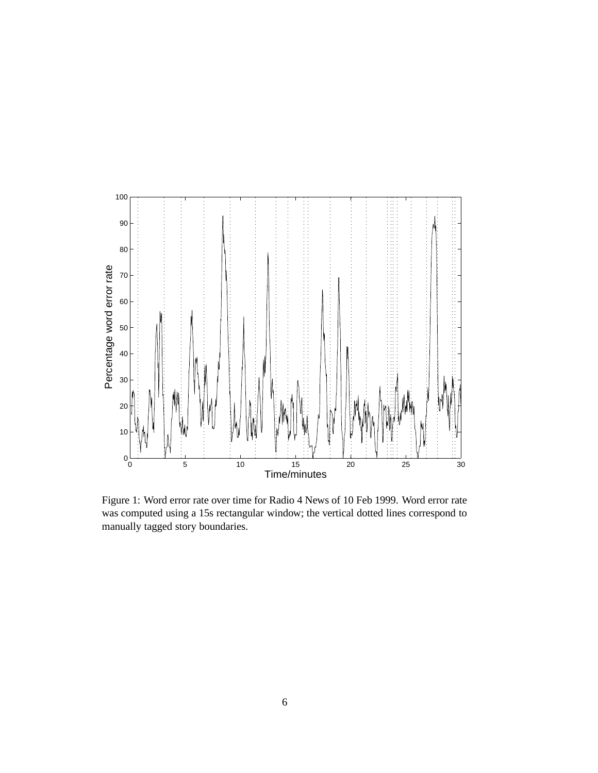

Figure 1: Word error rate over time for Radio 4 News of 10 Feb 1999. Word error rate was computed using a 15s rectangular window; the vertical dotted lines correspond to manually tagged story boundaries.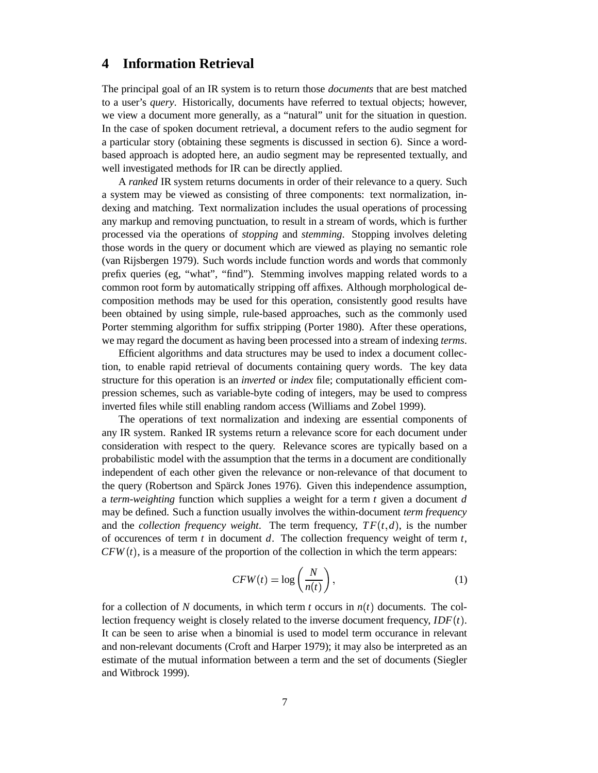#### **4 Information Retrieval**

The principal goal of an IR system is to return those *documents* that are best matched to a user's *query*. Historically, documents have referred to textual objects; however, we view a document more generally, as a "natural" unit for the situation in question. In the case of spoken document retrieval, a document refers to the audio segment for a particular story (obtaining these segments is discussed in section 6). Since a wordbased approach is adopted here, an audio segment may be represented textually, and well investigated methods for IR can be directly applied.

A *ranked* IR system returns documents in order of their relevance to a query. Such a system may be viewed as consisting of three components: text normalization, indexing and matching. Text normalization includes the usual operations of processing any markup and removing punctuation, to result in a stream of words, which is further processed via the operations of *stopping* and *stemming*. Stopping involves deleting those words in the query or document which are viewed as playing no semantic role (van Rijsbergen 1979). Such words include function words and words that commonly prefix queries (eg, "what", "find"). Stemming involves mapping related words to a common root form by automatically stripping off affixes. Although morphological decomposition methods may be used for this operation, consistently good results have been obtained by using simple, rule-based approaches, such as the commonly used Porter stemming algorithm for suffix stripping (Porter 1980). After these operations, we may regard the document as having been processed into a stream of indexing *terms*.

Efficient algorithms and data structures may be used to index a document collection, to enable rapid retrieval of documents containing query words. The key data structure for this operation is an *inverted* or *index* file; computationally efficient compression schemes, such as variable-byte coding of integers, may be used to compress inverted files while still enabling random access (Williams and Zobel 1999).

The operations of text normalization and indexing are essential components of any IR system. Ranked IR systems return a relevance score for each document under consideration with respect to the query. Relevance scores are typically based on a probabilistic model with the assumption that the terms in a document are conditionally independent of each other given the relevance or non-relevance of that document to the query (Robertson and Spärck Jones 1976). Given this independence assumption, a *term-weighting* function which supplies a weight for a term *t* given a document *d* may be defined. Such a function usually involves the within-document *term frequency* and the *collection frequency weight*. The term frequency,  $TF(t, d)$ , is the number of occurences of term *t* in document *d*. The collection frequency weight of term *t*,  $CFW(t)$ , is a measure of the proportion of the collection in which the term appears:

$$
CFW(t) = \log\left(\frac{N}{n(t)}\right),\tag{1}
$$

for a collection of N documents, in which term  $t$  occurs in  $n(t)$  documents. The collection frequency weight is closely related to the inverse document frequency,  $IDF(t)$ . It can be seen to arise when a binomial is used to model term occurance in relevant and non-relevant documents (Croft and Harper 1979); it may also be interpreted as an estimate of the mutual information between a term and the set of documents (Siegler and Witbrock 1999).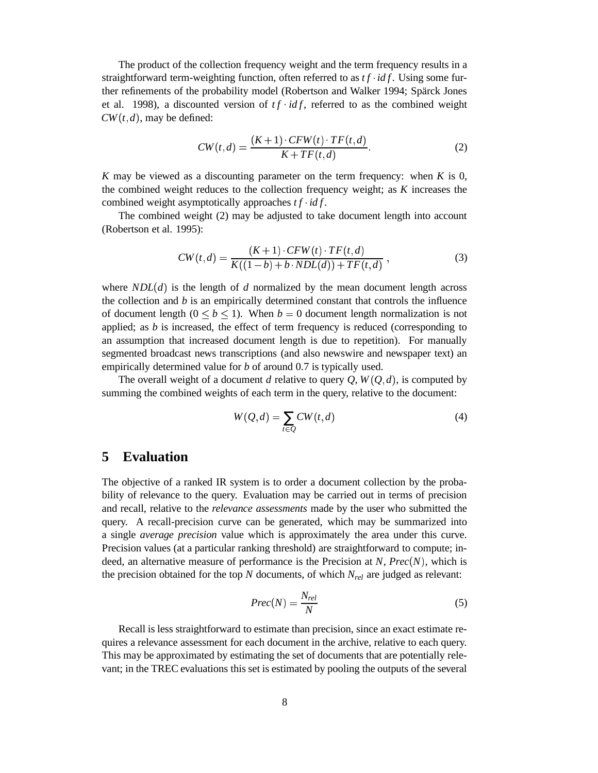The product of the collection frequency weight and the term frequency results in a straightforward term-weighting function, often referred to as  $tf \cdot idf$ . Using some further refinements of the probability model (Robertson and Walker 1994; Spärck Jones et al. 1998), a discounted version of  $tf \cdot idf$ , referred to as the combined weight  $CW(t, d)$ , may be defined:

$$
CW(t,d) = \frac{(K+1) \cdot CFW(t) \cdot TF(t,d)}{K+TF(t,d)}.
$$
\n(2)

*K* may be viewed as a discounting parameter on the term frequency: when *K* is 0, the combined weight reduces to the collection frequency weight; as *K* increases the combined weight asymptotically approaches  $tf \cdot idf$ .

The combined weight (2) may be adjusted to take document length into account (Robertson et al. 1995):

$$
CW(t,d) = \frac{(K+1) \cdot CFW(t) \cdot TF(t,d)}{K((1-b) + b \cdot NDL(d)) + TF(t,d)},
$$
\n(3)

where  $NDL(d)$  is the length of *d* normalized by the mean document length across the collection and *b* is an empirically determined constant that controls the influence of document length  $(0 \leq b \leq 1)$ . When  $b = 0$  document length normalization is not applied; as *b* is increased, the effect of term frequency is reduced (corresponding to an assumption that increased document length is due to repetition). For manually segmented broadcast news transcriptions (and also newswire and newspaper text) an empirically determined value for *b* of around 0.7 is typically used.

The overall weight of a document *d* relative to query  $Q$ ,  $W(Q, d)$ , is computed by summing the combined weights of each term in the query, relative to the document:

$$
W(Q,d) = \sum_{t \in Q} CW(t,d) \tag{4}
$$

### **5 Evaluation**

The objective of a ranked IR system is to order a document collection by the probability of relevance to the query. Evaluation may be carried out in terms of precision and recall, relative to the *relevance assessments* made by the user who submitted the query. A recall-precision curve can be generated, which may be summarized into a single *average precision* value which is approximately the area under this curve. Precision values (at a particular ranking threshold) are straightforward to compute; indeed, an alternative measure of performance is the Precision at  $N$ ,  $Prec(N)$ , which is the precision obtained for the top *N* documents, of which *Nrel* are judged as relevant:

$$
Prec(N) = \frac{N_{rel}}{N}
$$
\n(5)

Recall is less straightforward to estimate than precision, since an exact estimate requires a relevance assessment for each document in the archive, relative to each query. This may be approximated by estimating the set of documents that are potentially relevant; in the TREC evaluations this set is estimated by pooling the outputs of the several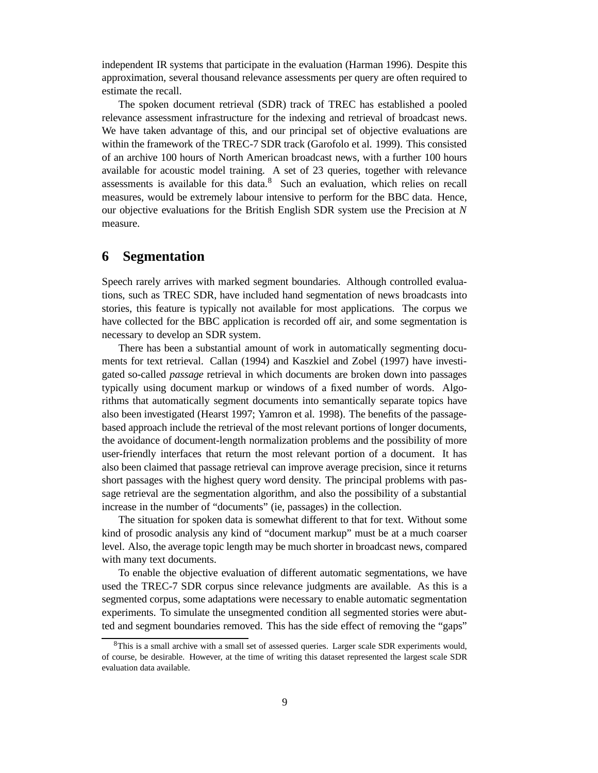independent IR systems that participate in the evaluation (Harman 1996). Despite this approximation, several thousand relevance assessments per query are often required to estimate the recall.

The spoken document retrieval (SDR) track of TREC has established a pooled relevance assessment infrastructure for the indexing and retrieval of broadcast news. We have taken advantage of this, and our principal set of objective evaluations are within the framework of the TREC-7 SDR track (Garofolo et al. 1999). This consisted of an archive 100 hours of North American broadcast news, with a further 100 hours available for acoustic model training. A set of 23 queries, together with relevance assessments is available for this data. $8$  Such an evaluation, which relies on recall measures, would be extremely labour intensive to perform for the BBC data. Hence, our objective evaluations for the British English SDR system use the Precision at *N* measure.

#### **6 Segmentation**

Speech rarely arrives with marked segment boundaries. Although controlled evaluations, such as TREC SDR, have included hand segmentation of news broadcasts into stories, this feature is typically not available for most applications. The corpus we have collected for the BBC application is recorded off air, and some segmentation is necessary to develop an SDR system.

There has been a substantial amount of work in automatically segmenting documents for text retrieval. Callan (1994) and Kaszkiel and Zobel (1997) have investigated so-called *passage* retrieval in which documents are broken down into passages typically using document markup or windows of a fixed number of words. Algorithms that automatically segment documents into semantically separate topics have also been investigated (Hearst 1997; Yamron et al. 1998). The benefits of the passagebased approach include the retrieval of the most relevant portions of longer documents, the avoidance of document-length normalization problems and the possibility of more user-friendly interfaces that return the most relevant portion of a document. It has also been claimed that passage retrieval can improve average precision, since it returns short passages with the highest query word density. The principal problems with passage retrieval are the segmentation algorithm, and also the possibility of a substantial increase in the number of "documents" (ie, passages) in the collection.

The situation for spoken data is somewhat different to that for text. Without some kind of prosodic analysis any kind of "document markup" must be at a much coarser level. Also, the average topic length may be much shorter in broadcast news, compared with many text documents.

To enable the objective evaluation of different automatic segmentations, we have used the TREC-7 SDR corpus since relevance judgments are available. As this is a segmented corpus, some adaptations were necessary to enable automatic segmentation experiments. To simulate the unsegmented condition all segmented stories were abutted and segment boundaries removed. This has the side effect of removing the "gaps"

<sup>&</sup>lt;sup>8</sup>This is a small archive with a small set of assessed queries. Larger scale SDR experiments would, of course, be desirable. However, at the time of writing this dataset represented the largest scale SDR evaluation data available.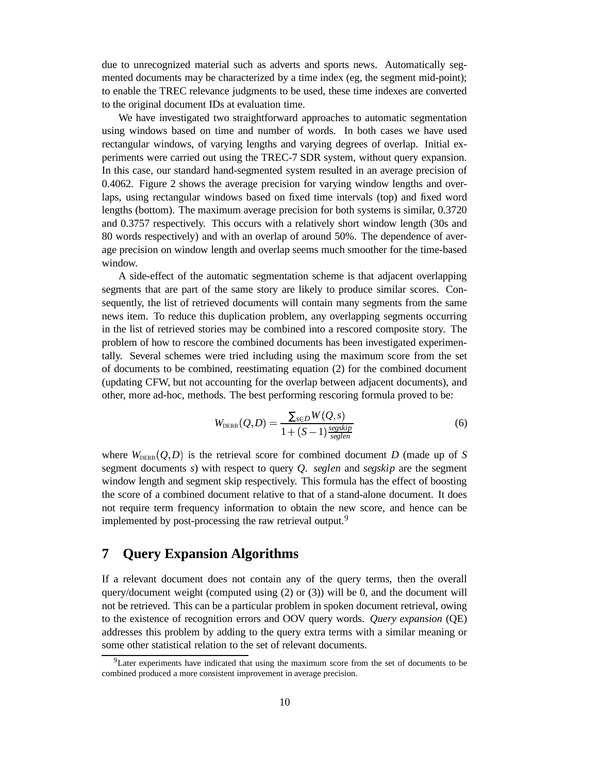due to unrecognized material such as adverts and sports news. Automatically segmented documents may be characterized by a time index (eg, the segment mid-point); to enable the TREC relevance judgments to be used, these time indexes are converted to the original document IDs at evaluation time.

We have investigated two straightforward approaches to automatic segmentation using windows based on time and number of words. In both cases we have used rectangular windows, of varying lengths and varying degrees of overlap. Initial experiments were carried out using the TREC-7 SDR system, without query expansion. In this case, our standard hand-segmented system resulted in an average precision of 0.4062. Figure 2 shows the average precision for varying window lengths and overlaps, using rectangular windows based on fixed time intervals (top) and fixed word lengths (bottom). The maximum average precision for both systems is similar, 0.3720 and 0.3757 respectively. This occurs with a relatively short window length (30s and 80 words respectively) and with an overlap of around 50%. The dependence of average precision on window length and overlap seems much smoother for the time-based window.

A side-effect of the automatic segmentation scheme is that adjacent overlapping segments that are part of the same story are likely to produce similar scores. Consequently, the list of retrieved documents will contain many segments from the same news item. To reduce this duplication problem, any overlapping segments occurring in the list of retrieved stories may be combined into a rescored composite story. The problem of how to rescore the combined documents has been investigated experimentally. Several schemes were tried including using the maximum score from the set of documents to be combined, reestimating equation (2) for the combined document (updating CFW, but not accounting for the overlap between adjacent documents), and other, more ad-hoc, methods. The best performing rescoring formula proved to be:

$$
W_{\text{DERB}}(Q, D) = \frac{\sum_{s \in D} W(Q, s)}{1 + (S - 1) \frac{\text{segskip}}{\text{seglen}}}
$$
(6)

where  $W_{\text{DERB}}(Q, D)$  is the retrieval score for combined document *D* (made up of *S* segment documents *s*) with respect to query *Q*. *seglen* and *segskip* are the segment window length and segment skip respectively. This formula has the effect of boosting the score of a combined document relative to that of a stand-alone document. It does not require term frequency information to obtain the new score, and hence can be implemented by post-processing the raw retrieval output.<sup>9</sup>

#### **7 Query Expansion Algorithms**

If a relevant document does not contain any of the query terms, then the overall query/document weight (computed using  $(2)$  or  $(3)$ ) will be 0, and the document will not be retrieved. This can be a particular problem in spoken document retrieval, owing to the existence of recognition errors and OOV query words. *Query expansion* (QE) addresses this problem by adding to the query extra terms with a similar meaning or some other statistical relation to the set of relevant documents.

<sup>9</sup>Later experiments have indicated that using the maximum score from the set of documents to be combined produced a more consistent improvement in average precision.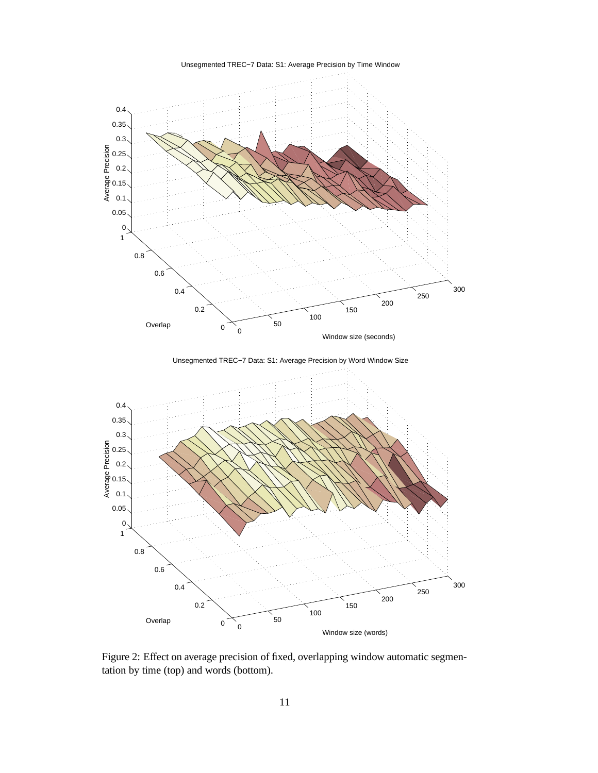

Figure 2: Effect on average precision of fixed, overlapping window automatic segmentation by time (top) and words (bottom).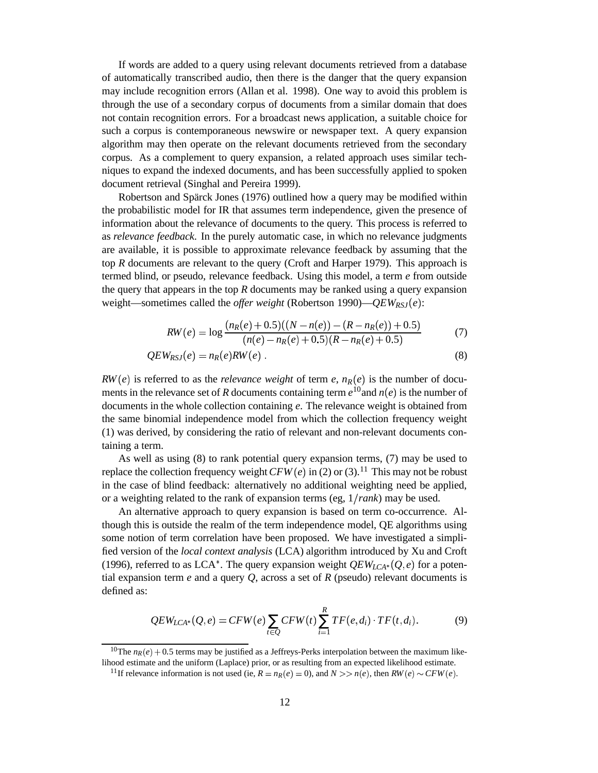If words are added to a query using relevant documents retrieved from a database of automatically transcribed audio, then there is the danger that the query expansion may include recognition errors (Allan et al. 1998). One way to avoid this problem is through the use of a secondary corpus of documents from a similar domain that does not contain recognition errors. For a broadcast news application, a suitable choice for such a corpus is contemporaneous newswire or newspaper text. A query expansion algorithm may then operate on the relevant documents retrieved from the secondary corpus. As a complement to query expansion, a related approach uses similar techniques to expand the indexed documents, and has been successfully applied to spoken document retrieval (Singhal and Pereira 1999).

Robertson and Spärck Jones (1976) outlined how a query may be modified within the probabilistic model for IR that assumes term independence, given the presence of information about the relevance of documents to the query. This process is referred to as *relevance feedback*. In the purely automatic case, in which no relevance judgments are available, it is possible to approximate relevance feedback by assuming that the top *R* documents are relevant to the query (Croft and Harper 1979). This approach is termed blind, or pseudo, relevance feedback. Using this model, a term *e* from outside the query that appears in the top  $R$  documents may be ranked using a query expansion weight—sometimes called the *offer weight* (Robertson 1990)— $QEW_{RSJ}(e)$ :

$$
RW(e) = \log \frac{(n_R(e) + 0.5)((N - n(e)) - (R - n_R(e)) + 0.5)}{(n(e) - n_R(e) + 0.5)(R - n_R(e) + 0.5)}
$$
(7)

$$
QEW_{RSJ}(e) = n_R(e)RW(e) \tag{8}
$$

 $RW(e)$  is referred to as the *relevance* weight of term *e*,  $n_R(e)$  is the number of documents in the relevance set of *R* documents containing term  $e^{10}$  and  $n(e)$  is the number of documents in the whole collection containing *e*. The relevance weight is obtained from the same binomial independence model from which the collection frequency weight (1) was derived, by considering the ratio of relevant and non-relevant documents containing a term.

As well as using (8) to rank potential query expansion terms, (7) may be used to replace the collection frequency weight  $CFW(e)$  in (2) or (3).<sup>11</sup> This may not be robust in the case of blind feedback: alternatively no additional weighting need be applied, or a weighting related to the rank of expansion terms (eg, 1 *rank*) may be used.

An alternative approach to query expansion is based on term co-occurrence. Although this is outside the realm of the term independence model, QE algorithms using some notion of term correlation have been proposed. We have investigated a simplified version of the *local context analysis* (LCA) algorithm introduced by Xu and Croft (1996), referred to as LCA<sup>\*</sup>. The query expansion weight  $QEW_{LCA}$ <sup>\*</sup>( $Q,e$ ) for a potential expansion term *e* and a query *Q*, across a set of *R* (pseudo) relevant documents is defined as:

$$
QEW_{LCA^*}(Q,e) = CFW(e) \sum_{t \in Q} CFW(t) \sum_{i=1}^R TF(e,d_i) \cdot TF(t,d_i). \tag{9}
$$

<sup>&</sup>lt;sup>10</sup>The  $n_R(e) + 0.5$  terms may be justified as a Jeffreys-Perks interpolation between the maximum likelihood estimate and the uniform (Laplace) prior, or as resulting from an expected likelihood estimate.

<sup>&</sup>lt;sup>11</sup>If relevance information is not used (ie,  $R = n_R(e) = 0$ ), and  $N >> n(e)$ , then  $RW(e) \sim CFW(e)$ .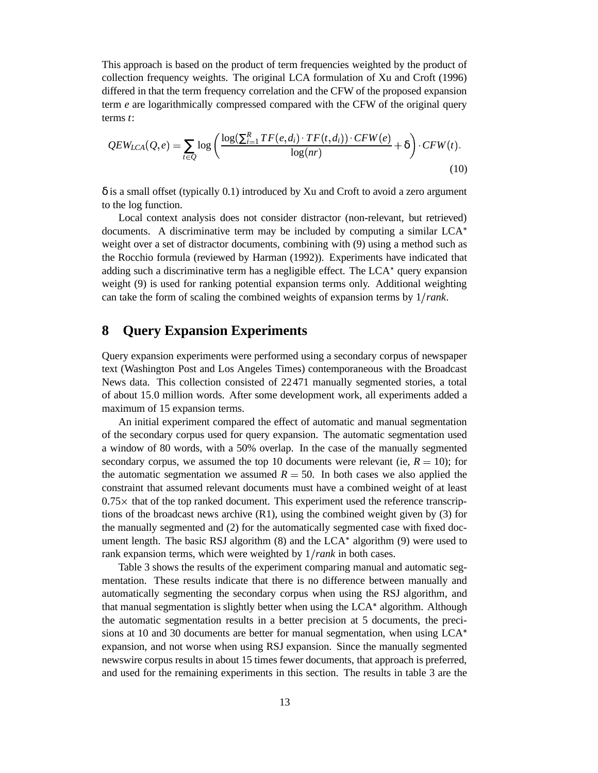This approach is based on the product of term frequencies weighted by the product of collection frequency weights. The original LCA formulation of Xu and Croft (1996) differed in that the term frequency correlation and the CFW of the proposed expansion term *e* are logarithmically compressed compared with the CFW of the original query terms *t*:

$$
QEW_{LCA}(Q,e) = \sum_{t \in Q} \log \left( \frac{\log(\sum_{i=1}^{R} TF(e,d_i) \cdot TF(t,d_i)) \cdot CFW(e)}{\log(nr)} + \delta \right) \cdot CFW(t).
$$
\n(10)

δ is a small offset (typically 0.1) introduced by Xu and Croft to avoid a zero argument to the log function.

Local context analysis does not consider distractor (non-relevant, but retrieved) documents. A discriminative term may be included by computing a similar  $LCA^*$ weight over a set of distractor documents, combining with (9) using a method such as the Rocchio formula (reviewed by Harman (1992)). Experiments have indicated that adding such a discriminative term has a negligible effect. The  $LCA^*$  query expansion weight (9) is used for ranking potential expansion terms only. Additional weighting can take the form of scaling the combined weights of expansion terms by 1 *rank*.

#### **8 Query Expansion Experiments**

Query expansion experiments were performed using a secondary corpus of newspaper text (Washington Post and Los Angeles Times) contemporaneous with the Broadcast News data. This collection consisted of 22471 manually segmented stories, a total of about 15 0 million words. After some development work, all experiments added a maximum of 15 expansion terms.

An initial experiment compared the effect of automatic and manual segmentation of the secondary corpus used for query expansion. The automatic segmentation used a window of 80 words, with a 50% overlap. In the case of the manually segmented secondary corpus, we assumed the top 10 documents were relevant (ie,  $R = 10$ ); for the automatic segmentation we assumed  $R = 50$ . In both cases we also applied the constraint that assumed relevant documents must have a combined weight of at least  $0.75\times$  that of the top ranked document. This experiment used the reference transcrip-- tions of the broadcast news archive (R1), using the combined weight given by (3) for the manually segmented and (2) for the automatically segmented case with fixed document length. The basic RSJ algorithm  $(8)$  and the LCA<sup>\*</sup> algorithm  $(9)$  were used to rank expansion terms, which were weighted by 1 *rank* in both cases.

Table 3 shows the results of the experiment comparing manual and automatic segmentation. These results indicate that there is no difference between manually and automatically segmenting the secondary corpus when using the RSJ algorithm, and that manual segmentation is slightly better when using the  $LCA^*$  algorithm. Although the automatic segmentation results in a better precision at 5 documents, the precisions at 10 and 30 documents are better for manual segmentation, when using LCA expansion, and not worse when using RSJ expansion. Since the manually segmented newswire corpus results in about 15 times fewer documents, that approach is preferred, and used for the remaining experiments in this section. The results in table 3 are the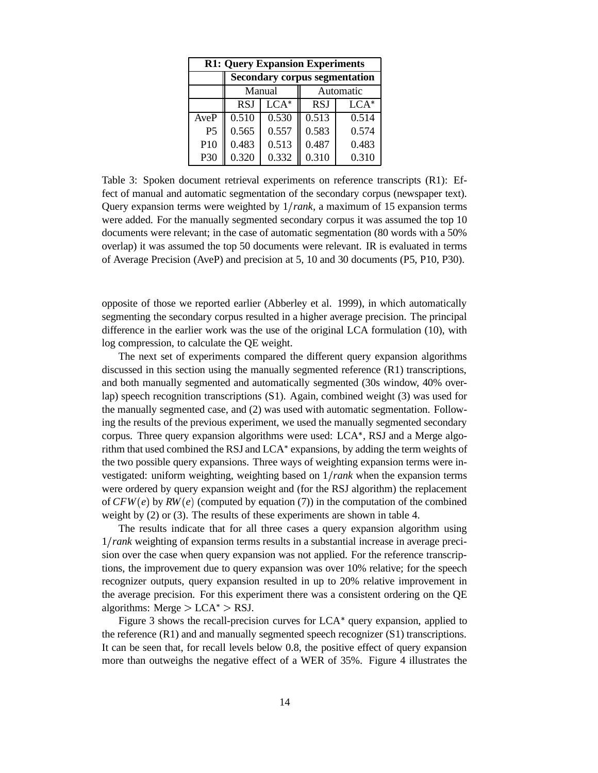| <b>R1: Query Expansion Experiments</b> |                                      |                     |            |        |  |
|----------------------------------------|--------------------------------------|---------------------|------------|--------|--|
|                                        | <b>Secondary corpus segmentation</b> |                     |            |        |  |
|                                        |                                      | Manual<br>Automatic |            |        |  |
|                                        | <b>RSJ</b>                           | $LCA*$              | <b>RSJ</b> | $LCA*$ |  |
| AveP                                   | 0.510                                | 0.530               | 0.513      | 0.514  |  |
| P <sub>5</sub>                         | 0.565                                | 0.557               | 0.583      | 0.574  |  |
| P10                                    | 0.483                                | 0.513               | 0.487      | 0.483  |  |
| P30                                    | 0.320                                | 0.332               | 0.310      | 0.310  |  |

Table 3: Spoken document retrieval experiments on reference transcripts (R1): Effect of manual and automatic segmentation of the secondary corpus (newspaper text). Query expansion terms were weighted by 1 *rank*, a maximum of 15 expansion terms were added. For the manually segmented secondary corpus it was assumed the top 10 documents were relevant; in the case of automatic segmentation (80 words with a 50% overlap) it was assumed the top 50 documents were relevant. IR is evaluated in terms of Average Precision (AveP) and precision at 5, 10 and 30 documents (P5, P10, P30).

opposite of those we reported earlier (Abberley et al. 1999), in which automatically segmenting the secondary corpus resulted in a higher average precision. The principal difference in the earlier work was the use of the original LCA formulation (10), with log compression, to calculate the QE weight.

The next set of experiments compared the different query expansion algorithms discussed in this section using the manually segmented reference (R1) transcriptions, and both manually segmented and automatically segmented (30s window, 40% overlap) speech recognition transcriptions (S1). Again, combined weight (3) was used for the manually segmented case, and (2) was used with automatic segmentation. Following the results of the previous experiment, we used the manually segmented secondary corpus. Three query expansion algorithms were used:  $LCA^*$ , RSJ and a Merge algorithm that used combined the RSJ and LCA<sup>\*</sup> expansions, by adding the term weights of the two possible query expansions. Three ways of weighting expansion terms were investigated: uniform weighting, weighting based on 1 *rank* when the expansion terms were ordered by query expansion weight and (for the RSJ algorithm) the replacement of  $CFW(e)$  by  $RW(e)$  (computed by equation (7)) in the computation of the combined weight by (2) or (3). The results of these experiments are shown in table 4.

The results indicate that for all three cases a query expansion algorithm using 1 *rank* weighting of expansion terms results in a substantial increase in average precision over the case when query expansion was not applied. For the reference transcriptions, the improvement due to query expansion was over 10% relative; for the speech recognizer outputs, query expansion resulted in up to 20% relative improvement in the average precision. For this experiment there was a consistent ordering on the QE algorithms: Merge  $> LCA^*$   $> RSI$ .

Figure 3 shows the recall-precision curves for  $LCA^*$  query expansion, applied to the reference (R1) and and manually segmented speech recognizer (S1) transcriptions. It can be seen that, for recall levels below 0.8, the positive effect of query expansion more than outweighs the negative effect of a WER of 35%. Figure 4 illustrates the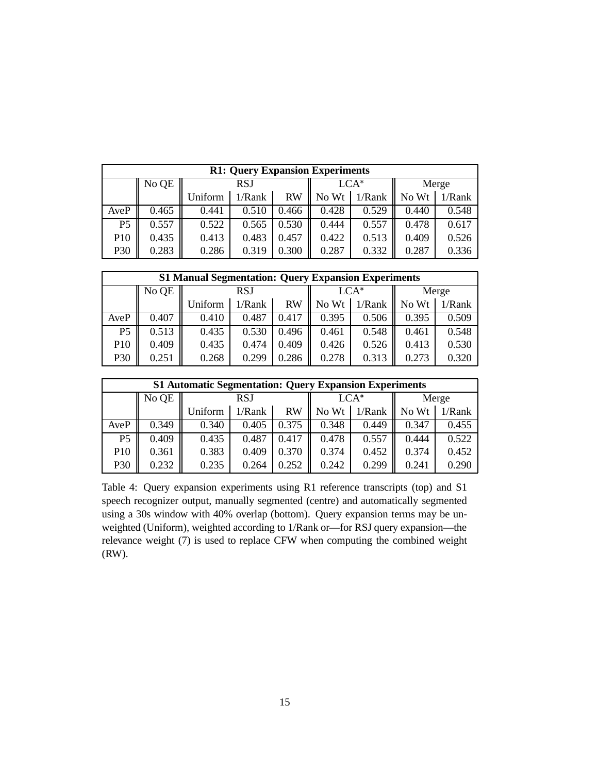| <b>R1: Query Expansion Experiments</b> |       |         |            |           |       |        |       |        |
|----------------------------------------|-------|---------|------------|-----------|-------|--------|-------|--------|
|                                        | No QE |         | <b>RSJ</b> |           |       | $LCA*$ |       | Merge  |
|                                        |       | Uniform | 1/Rank     | <b>RW</b> | No Wt | 1/Rank | No Wt | 1/Rank |
| AveP                                   | 0.465 | 0.441   | 0.510      | 0.466     | 0.428 | 0.529  | 0.440 | 0.548  |
| P <sub>5</sub>                         | 0.557 | 0.522   | 0.565      | 0.530     | 0.444 | 0.557  | 0.478 | 0.617  |
| P10                                    | 0.435 | 0.413   | 0.483      | 0.457     | 0.422 | 0.513  | 0.409 | 0.526  |
| P30                                    | 0.283 | 0.286   | 0.319      | 0.300     | 0.287 | 0.332  | 0.287 | 0.336  |

| <b>S1 Manual Segmentation: Query Expansion Experiments</b> |       |         |            |       |        |        |       |           |
|------------------------------------------------------------|-------|---------|------------|-------|--------|--------|-------|-----------|
|                                                            | No QE |         | <b>RSJ</b> |       | $LCA*$ |        | Merge |           |
|                                                            |       | Uniform | 1/Rank     | RW    | No Wt  | 1/Rank | No Wt | $1/R$ ank |
| AveP                                                       | 0.407 | 0.410   | 0.487      | 0.417 | 0.395  | 0.506  | 0.395 | 0.509     |
| P <sub>5</sub>                                             | 0.513 | 0.435   | 0.530      | 0.496 | 0.461  | 0.548  | 0.461 | 0.548     |
| P10                                                        | 0.409 | 0.435   | 0.474      | 0.409 | 0.426  | 0.526  | 0.413 | 0.530     |
| P30                                                        | 0.251 | 0.268   | 0.299      | 0.286 | 0.278  | 0.313  | 0.273 | 0.320     |

| <b>S1 Automatic Segmentation: Query Expansion Experiments</b> |       |         |            |           |       |        |       |           |
|---------------------------------------------------------------|-------|---------|------------|-----------|-------|--------|-------|-----------|
|                                                               | No QE |         | <b>RSJ</b> |           |       | $LCA*$ |       | Merge     |
|                                                               |       | Uniform | 1/Rank     | <b>RW</b> | No Wt | 1/Rank | No Wt | $1/R$ ank |
| AveP                                                          | 0.349 | 0.340   | 0.405      | 0.375     | 0.348 | 0.449  | 0.347 | 0.455     |
| P <sub>5</sub>                                                | 0.409 | 0.435   | 0.487      | 0.417     | 0.478 | 0.557  | 0.444 | 0.522     |
| P <sub>10</sub>                                               | 0.361 | 0.383   | 0.409      | 0.370     | 0.374 | 0.452  | 0.374 | 0.452     |
| P30                                                           | 0.232 | 0.235   | 0.264      | 0.252     | 0.242 | 0.299  | 0.241 | 0.290     |

Table 4: Query expansion experiments using R1 reference transcripts (top) and S1 speech recognizer output, manually segmented (centre) and automatically segmented using a 30s window with 40% overlap (bottom). Query expansion terms may be unweighted (Uniform), weighted according to 1/Rank or—for RSJ query expansion—the relevance weight (7) is used to replace CFW when computing the combined weight (RW).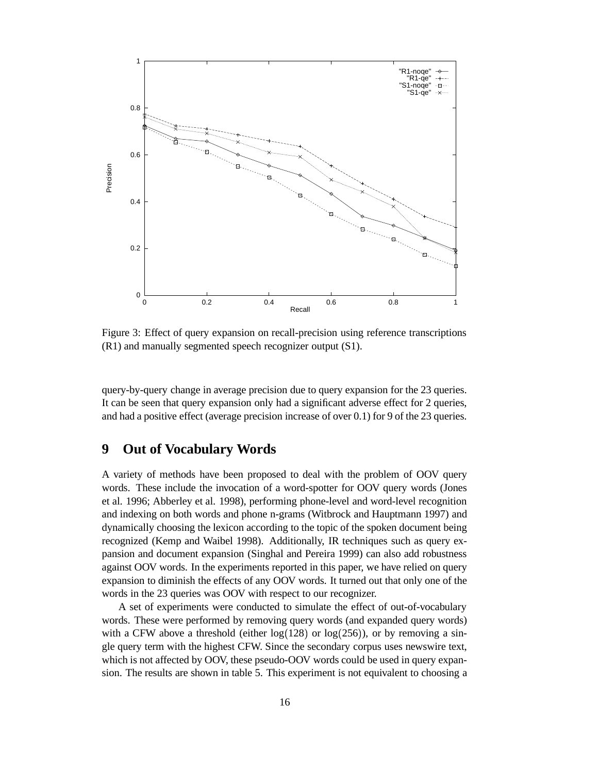

Figure 3: Effect of query expansion on recall-precision using reference transcriptions (R1) and manually segmented speech recognizer output (S1).

query-by-query change in average precision due to query expansion for the 23 queries. It can be seen that query expansion only had a significant adverse effect for 2 queries, and had a positive effect (average precision increase of over 0.1) for 9 of the 23 queries.

#### **9 Out of Vocabulary Words**

A variety of methods have been proposed to deal with the problem of OOV query words. These include the invocation of a word-spotter for OOV query words (Jones et al. 1996; Abberley et al. 1998), performing phone-level and word-level recognition and indexing on both words and phone n-grams (Witbrock and Hauptmann 1997) and dynamically choosing the lexicon according to the topic of the spoken document being recognized (Kemp and Waibel 1998). Additionally, IR techniques such as query expansion and document expansion (Singhal and Pereira 1999) can also add robustness against OOV words. In the experiments reported in this paper, we have relied on query expansion to diminish the effects of any OOV words. It turned out that only one of the words in the 23 queries was OOV with respect to our recognizer.

A set of experiments were conducted to simulate the effect of out-of-vocabulary words. These were performed by removing query words (and expanded query words) with a CFW above a threshold (either  $log(128)$  or  $log(256)$ ), or by removing a single query term with the highest CFW. Since the secondary corpus uses newswire text, which is not affected by OOV, these pseudo-OOV words could be used in query expansion. The results are shown in table 5. This experiment is not equivalent to choosing a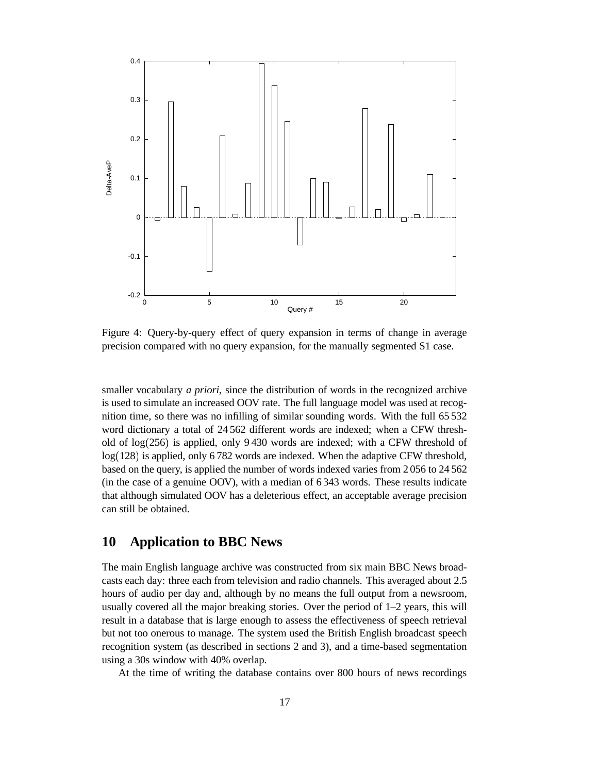

Figure 4: Query-by-query effect of query expansion in terms of change in average precision compared with no query expansion, for the manually segmented S1 case.

smaller vocabulary *a priori*, since the distribution of words in the recognized archive is used to simulate an increased OOV rate. The full language model was used at recognition time, so there was no infilling of similar sounding words. With the full 65 532 word dictionary a total of 24 562 different words are indexed; when a CFW threshold of  $log(256)$  is applied, only 9430 words are indexed; with a CFW threshold of log (128) is applied, only 6 782 words are indexed. When the adaptive CFW threshold, based on the query, is applied the number of words indexed varies from 2 056 to 24 562 (in the case of a genuine OOV), with a median of 6 343 words. These results indicate that although simulated OOV has a deleterious effect, an acceptable average precision can still be obtained.

#### **10 Application to BBC News**

The main English language archive was constructed from six main BBC News broadcasts each day: three each from television and radio channels. This averaged about 2.5 hours of audio per day and, although by no means the full output from a newsroom, usually covered all the major breaking stories. Over the period of 1–2 years, this will result in a database that is large enough to assess the effectiveness of speech retrieval but not too onerous to manage. The system used the British English broadcast speech recognition system (as described in sections 2 and 3), and a time-based segmentation using a 30s window with 40% overlap.

At the time of writing the database contains over 800 hours of news recordings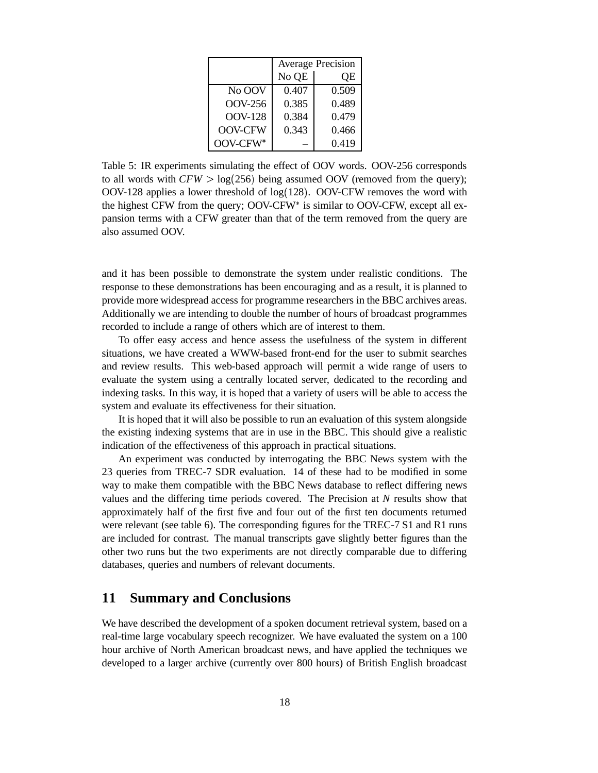|                | <b>Average Precision</b> |       |  |
|----------------|--------------------------|-------|--|
|                | No QE                    | QE    |  |
| No OOV         | 0.407                    | 0.509 |  |
| OOV-256        | 0.385                    | 0.489 |  |
| <b>OOV-128</b> | 0.384                    | 0.479 |  |
| <b>OOV-CFW</b> | 0.343                    | 0.466 |  |
| OOV-CFW*       |                          | 0.419 |  |

Table 5: IR experiments simulating the effect of OOV words. OOV-256 corresponds to all words with  $CFW > log(256)$  being assumed OOV (removed from the query);  $OOV-128$  applies a lower threshold of  $log(128)$ . OOV-CFW removes the word with the highest CFW from the query; OOV-CFW is similar to OOV-CFW, except all expansion terms with a CFW greater than that of the term removed from the query are also assumed OOV.

and it has been possible to demonstrate the system under realistic conditions. The response to these demonstrations has been encouraging and as a result, it is planned to provide more widespread access for programme researchers in the BBC archives areas. Additionally we are intending to double the number of hours of broadcast programmes recorded to include a range of others which are of interest to them.

To offer easy access and hence assess the usefulness of the system in different situations, we have created a WWW-based front-end for the user to submit searches and review results. This web-based approach will permit a wide range of users to evaluate the system using a centrally located server, dedicated to the recording and indexing tasks. In this way, it is hoped that a variety of users will be able to access the system and evaluate its effectiveness for their situation.

It is hoped that it will also be possible to run an evaluation of this system alongside the existing indexing systems that are in use in the BBC. This should give a realistic indication of the effectiveness of this approach in practical situations.

An experiment was conducted by interrogating the BBC News system with the 23 queries from TREC-7 SDR evaluation. 14 of these had to be modified in some way to make them compatible with the BBC News database to reflect differing news values and the differing time periods covered. The Precision at *N* results show that approximately half of the first five and four out of the first ten documents returned were relevant (see table 6). The corresponding figures for the TREC-7 S1 and R1 runs are included for contrast. The manual transcripts gave slightly better figures than the other two runs but the two experiments are not directly comparable due to differing databases, queries and numbers of relevant documents.

#### **11 Summary and Conclusions**

We have described the development of a spoken document retrieval system, based on a real-time large vocabulary speech recognizer. We have evaluated the system on a 100 hour archive of North American broadcast news, and have applied the techniques we developed to a larger archive (currently over 800 hours) of British English broadcast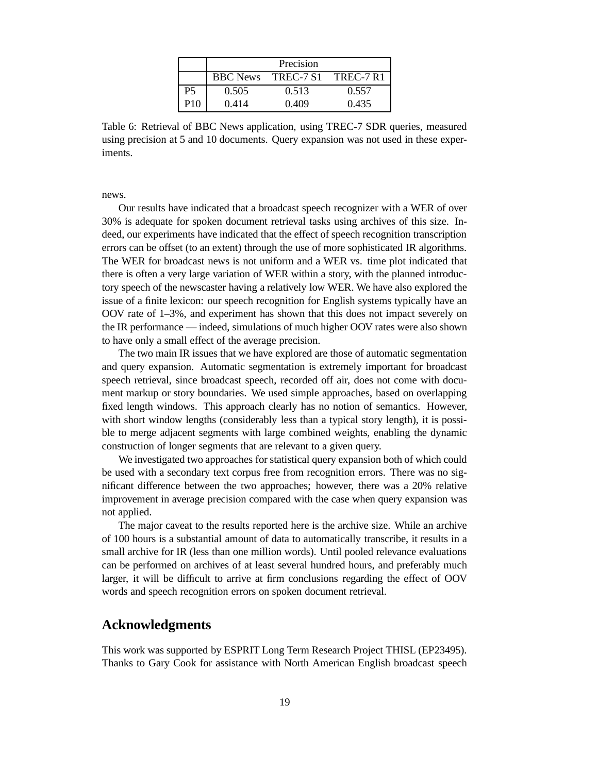|     |                 | Precision |           |
|-----|-----------------|-----------|-----------|
|     | <b>BBC</b> News | TREC-7 S1 | TREC-7 R1 |
| Р5  | 0.505           | 0.513     | 0.557     |
| P10 | 0.414           | 0.409     | 0.435     |

Table 6: Retrieval of BBC News application, using TREC-7 SDR queries, measured using precision at 5 and 10 documents. Query expansion was not used in these experiments.

news.

Our results have indicated that a broadcast speech recognizer with a WER of over 30% is adequate for spoken document retrieval tasks using archives of this size. Indeed, our experiments have indicated that the effect of speech recognition transcription errors can be offset (to an extent) through the use of more sophisticated IR algorithms. The WER for broadcast news is not uniform and a WER vs. time plot indicated that there is often a very large variation of WER within a story, with the planned introductory speech of the newscaster having a relatively low WER. We have also explored the issue of a finite lexicon: our speech recognition for English systems typically have an OOV rate of 1–3%, and experiment has shown that this does not impact severely on the IR performance — indeed, simulations of much higher OOV rates were also shown to have only a small effect of the average precision.

The two main IR issues that we have explored are those of automatic segmentation and query expansion. Automatic segmentation is extremely important for broadcast speech retrieval, since broadcast speech, recorded off air, does not come with document markup or story boundaries. We used simple approaches, based on overlapping fixed length windows. This approach clearly has no notion of semantics. However, with short window lengths (considerably less than a typical story length), it is possible to merge adjacent segments with large combined weights, enabling the dynamic construction of longer segments that are relevant to a given query.

We investigated two approaches for statistical query expansion both of which could be used with a secondary text corpus free from recognition errors. There was no significant difference between the two approaches; however, there was a 20% relative improvement in average precision compared with the case when query expansion was not applied.

The major caveat to the results reported here is the archive size. While an archive of 100 hours is a substantial amount of data to automatically transcribe, it results in a small archive for IR (less than one million words). Until pooled relevance evaluations can be performed on archives of at least several hundred hours, and preferably much larger, it will be difficult to arrive at firm conclusions regarding the effect of OOV words and speech recognition errors on spoken document retrieval.

#### **Acknowledgments**

This work was supported by ESPRIT Long Term Research Project THISL (EP23495). Thanks to Gary Cook for assistance with North American English broadcast speech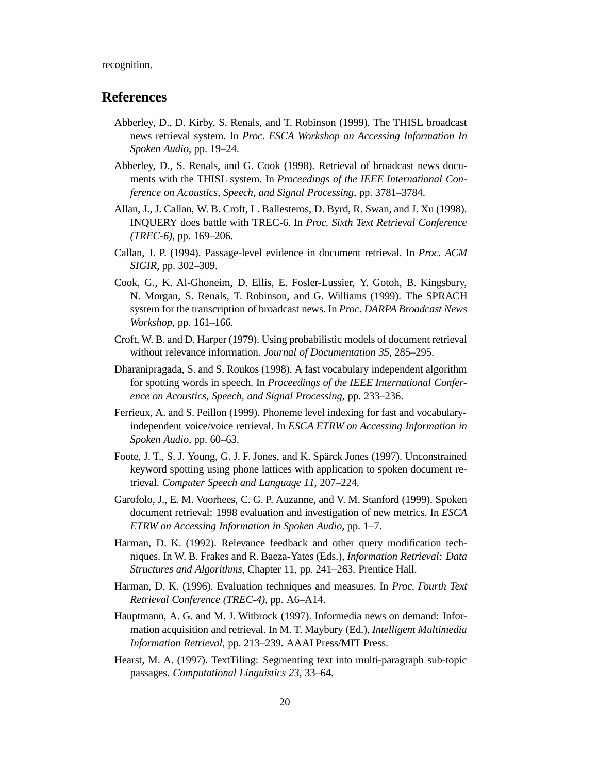recognition.

#### **References**

- Abberley, D., D. Kirby, S. Renals, and T. Robinson (1999). The THISL broadcast news retrieval system. In *Proc. ESCA Workshop on Accessing Information In Spoken Audio*, pp. 19–24.
- Abberley, D., S. Renals, and G. Cook (1998). Retrieval of broadcast news documents with the THISL system. In *Proceedings of the IEEE International Conference on Acoustics, Speech, and Signal Processing*, pp. 3781–3784.
- Allan, J., J. Callan, W. B. Croft, L. Ballesteros, D. Byrd, R. Swan, and J. Xu (1998). INQUERY does battle with TREC-6. In *Proc. Sixth Text Retrieval Conference (TREC-6)*, pp. 169–206.
- Callan, J. P. (1994). Passage-level evidence in document retrieval. In *Proc. ACM SIGIR*, pp. 302–309.
- Cook, G., K. Al-Ghoneim, D. Ellis, E. Fosler-Lussier, Y. Gotoh, B. Kingsbury, N. Morgan, S. Renals, T. Robinson, and G. Williams (1999). The SPRACH system for the transcription of broadcast news. In *Proc. DARPA Broadcast News Workshop*, pp. 161–166.
- Croft, W. B. and D. Harper (1979). Using probabilistic models of document retrieval without relevance information. *Journal of Documentation 35*, 285–295.
- Dharanipragada, S. and S. Roukos (1998). A fast vocabulary independent algorithm for spotting words in speech. In *Proceedings of the IEEE International Conference on Acoustics, Speech, and Signal Processing*, pp. 233–236.
- Ferrieux, A. and S. Peillon (1999). Phoneme level indexing for fast and vocabularyindependent voice/voice retrieval. In *ESCA ETRW on Accessing Information in Spoken Audio*, pp. 60–63.
- Foote, J. T., S. J. Young, G. J. F. Jones, and K. Spärck Jones (1997). Unconstrained keyword spotting using phone lattices with application to spoken document retrieval. *Computer Speech and Language 11*, 207–224.
- Garofolo, J., E. M. Voorhees, C. G. P. Auzanne, and V. M. Stanford (1999). Spoken document retrieval: 1998 evaluation and investigation of new metrics. In *ESCA ETRW on Accessing Information in Spoken Audio*, pp. 1–7.
- Harman, D. K. (1992). Relevance feedback and other query modification techniques. In W. B. Frakes and R. Baeza-Yates (Eds.), *Information Retrieval: Data Structures and Algorithms*, Chapter 11, pp. 241–263. Prentice Hall.
- Harman, D. K. (1996). Evaluation techniques and measures. In *Proc. Fourth Text Retrieval Conference (TREC-4)*, pp. A6–A14.
- Hauptmann, A. G. and M. J. Witbrock (1997). Informedia news on demand: Information acquisition and retrieval. In M. T. Maybury (Ed.), *Intelligent Multimedia Information Retrieval*, pp. 213–239. AAAI Press/MIT Press.
- Hearst, M. A. (1997). TextTiling: Segmenting text into multi-paragraph sub-topic passages. *Computational Linguistics 23*, 33–64.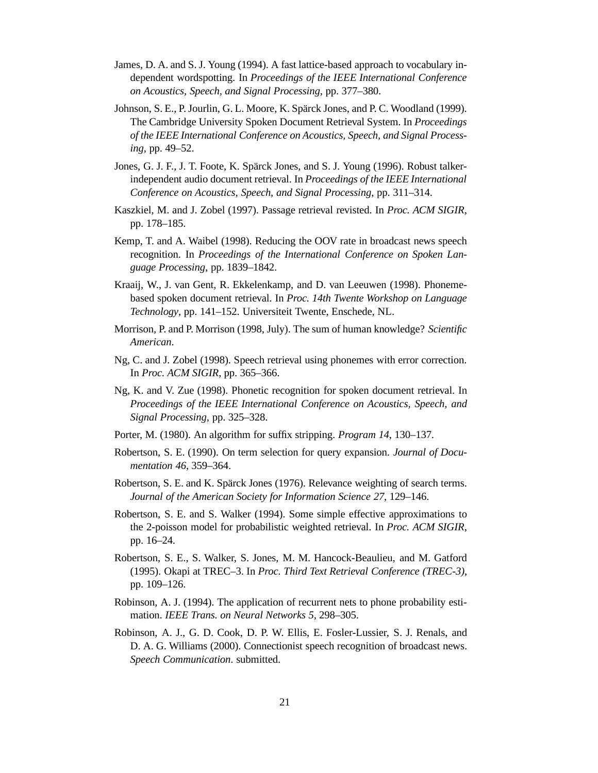- James, D. A. and S. J. Young (1994). A fast lattice-based approach to vocabulary independent wordspotting. In *Proceedings of the IEEE International Conference on Acoustics, Speech, and Signal Processing*, pp. 377–380.
- Johnson, S. E., P. Jourlin, G. L. Moore, K. Spärck Jones, and P. C. Woodland (1999). The Cambridge University Spoken Document Retrieval System. In *Proceedings of the IEEE International Conference on Acoustics, Speech, and Signal Processing*, pp. 49–52.
- Jones, G. J. F., J. T. Foote, K. Spärck Jones, and S. J. Young (1996). Robust talkerindependent audio document retrieval. In *Proceedings of the IEEE International Conference on Acoustics, Speech, and Signal Processing*, pp. 311–314.
- Kaszkiel, M. and J. Zobel (1997). Passage retrieval revisted. In *Proc. ACM SIGIR*, pp. 178–185.
- Kemp, T. and A. Waibel (1998). Reducing the OOV rate in broadcast news speech recognition. In *Proceedings of the International Conference on Spoken Language Processing*, pp. 1839–1842.
- Kraaij, W., J. van Gent, R. Ekkelenkamp, and D. van Leeuwen (1998). Phonemebased spoken document retrieval. In *Proc. 14th Twente Workshop on Language Technology*, pp. 141–152. Universiteit Twente, Enschede, NL.
- Morrison, P. and P. Morrison (1998, July). The sum of human knowledge? *Scientific American*.
- Ng, C. and J. Zobel (1998). Speech retrieval using phonemes with error correction. In *Proc. ACM SIGIR*, pp. 365–366.
- Ng, K. and V. Zue (1998). Phonetic recognition for spoken document retrieval. In *Proceedings of the IEEE International Conference on Acoustics, Speech, and Signal Processing*, pp. 325–328.
- Porter, M. (1980). An algorithm for suffix stripping. *Program 14*, 130–137.
- Robertson, S. E. (1990). On term selection for query expansion. *Journal of Documentation 46*, 359–364.
- Robertson, S. E. and K. Spärck Jones (1976). Relevance weighting of search terms. *Journal of the American Society for Information Science 27*, 129–146.
- Robertson, S. E. and S. Walker (1994). Some simple effective approximations to the 2-poisson model for probabilistic weighted retrieval. In *Proc. ACM SIGIR*, pp. 16–24.
- Robertson, S. E., S. Walker, S. Jones, M. M. Hancock-Beaulieu, and M. Gatford (1995). Okapi at TREC–3. In *Proc. Third Text Retrieval Conference (TREC-3)*, pp. 109–126.
- Robinson, A. J. (1994). The application of recurrent nets to phone probability estimation. *IEEE Trans. on Neural Networks 5*, 298–305.
- Robinson, A. J., G. D. Cook, D. P. W. Ellis, E. Fosler-Lussier, S. J. Renals, and D. A. G. Williams (2000). Connectionist speech recognition of broadcast news. *Speech Communication*. submitted.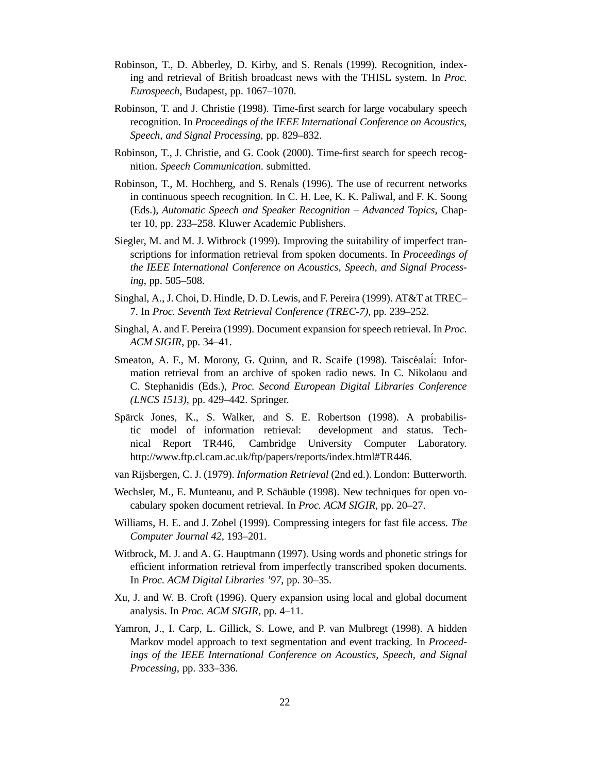- Robinson, T., D. Abberley, D. Kirby, and S. Renals (1999). Recognition, indexing and retrieval of British broadcast news with the THISL system. In *Proc. Eurospeech*, Budapest, pp. 1067–1070.
- Robinson, T. and J. Christie (1998). Time-first search for large vocabulary speech recognition. In *Proceedings of the IEEE International Conference on Acoustics, Speech, and Signal Processing*, pp. 829–832.
- Robinson, T., J. Christie, and G. Cook (2000). Time-first search for speech recognition. *Speech Communication*. submitted.
- Robinson, T., M. Hochberg, and S. Renals (1996). The use of recurrent networks in continuous speech recognition. In C. H. Lee, K. K. Paliwal, and F. K. Soong (Eds.), *Automatic Speech and Speaker Recognition – Advanced Topics*, Chapter 10, pp. 233–258. Kluwer Academic Publishers.
- Siegler, M. and M. J. Witbrock (1999). Improving the suitability of imperfect transcriptions for information retrieval from spoken documents. In *Proceedings of the IEEE International Conference on Acoustics, Speech, and Signal Processing*, pp. 505–508.
- Singhal, A., J. Choi, D. Hindle, D. D. Lewis, and F. Pereira (1999). AT&T at TREC– 7. In *Proc. Seventh Text Retrieval Conference (TREC-7)*, pp. 239–252.
- Singhal, A. and F. Pereira (1999). Document expansion for speech retrieval. In *Proc. ACM SIGIR*, pp. 34–41.
- Smeaton, A. F., M. Morony, G. Quinn, and R. Scaife (1998). Taiscéalaí: Information retrieval from an archive of spoken radio news. In C. Nikolaou and C. Stephanidis (Eds.), *Proc. Second European Digital Libraries Conference (LNCS 1513)*, pp. 429–442. Springer.
- Spärck Jones, K., S. Walker, and S. E. Robertson (1998). A probabilistic model of information retrieval: development and status. Technical Report TR446, Cambridge University Computer Laboratory. http://www.ftp.cl.cam.ac.uk/ftp/papers/reports/index.html#TR446.
- van Rijsbergen, C. J. (1979). *Information Retrieval* (2nd ed.). London: Butterworth.
- Wechsler, M., E. Munteanu, and P. Schäuble (1998). New techniques for open vocabulary spoken document retrieval. In *Proc. ACM SIGIR*, pp. 20–27.
- Williams, H. E. and J. Zobel (1999). Compressing integers for fast file access. *The Computer Journal 42*, 193–201.
- Witbrock, M. J. and A. G. Hauptmann (1997). Using words and phonetic strings for efficient information retrieval from imperfectly transcribed spoken documents. In *Proc. ACM Digital Libraries '97*, pp. 30–35.
- Xu, J. and W. B. Croft (1996). Query expansion using local and global document analysis. In *Proc. ACM SIGIR*, pp. 4–11.
- Yamron, J., I. Carp, L. Gillick, S. Lowe, and P. van Mulbregt (1998). A hidden Markov model approach to text segmentation and event tracking. In *Proceedings of the IEEE International Conference on Acoustics, Speech, and Signal Processing*, pp. 333–336.